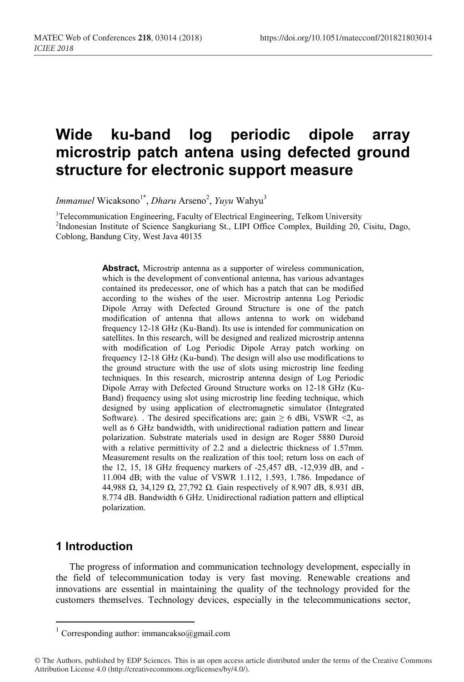# **Wide ku-band log periodic dipole array microstrip patch antena using defected ground structure for electronic support measure**

*Immanuel* Wicaksono<sup>1\*</sup>, *Dharu* Arseno<sup>2</sup>, *Yuyu* Wahyu<sup>3</sup>

<sup>1</sup>Telecommunication Engineering, Faculty of Electrical Engineering, Telkom University<br><sup>2</sup>Indonesian Institute of Science Sangkurjang St. J IPL Office Complex, Building 20 <sup>2</sup>Indonesian Institute of Science Sangkuriang St., LIPI Office Complex, Building 20, Cisitu, Dago, Coblong, Bandung City, West Java 40135

> **Abstract,** Microstrip antenna as a supporter of wireless communication, which is the development of conventional antenna, has various advantages contained its predecessor, one of which has a patch that can be modified according to the wishes of the user. Microstrip antenna Log Periodic Dipole Array with Defected Ground Structure is one of the patch modification of antenna that allows antenna to work on wideband frequency 12-18 GHz (Ku-Band). Its use is intended for communication on satellites. In this research, will be designed and realized microstrip antenna with modification of Log Periodic Dipole Array patch working on frequency 12-18 GHz (Ku-band). The design will also use modifications to the ground structure with the use of slots using microstrip line feeding techniques. In this research, microstrip antenna design of Log Periodic Dipole Array with Defected Ground Structure works on 12-18 GHz (Ku-Band) frequency using slot using microstrip line feeding technique, which designed by using application of electromagnetic simulator (Integrated Software). . The desired specifications are; gain  $\geq 6$  dBi, VSWR <2, as well as 6 GHz bandwidth, with unidirectional radiation pattern and linear polarization. Substrate materials used in design are Roger 5880 Duroid with a relative permittivity of 2.2 and a dielectric thickness of 1.57mm. Measurement results on the realization of this tool; return loss on each of the 12, 15, 18 GHz frequency markers of -25,457 dB, -12,939 dB, and - 11.004 dB; with the value of VSWR 1.112, 1.593, 1.786. Impedance of 44,988 Ω, 34,129 Ω, 27,792 Ω. Gain respectively of 8.907 dB, 8.931 dB, 8.774 dB. Bandwidth 6 GHz. Unidirectional radiation pattern and elliptical polarization.

# **1 Introduction**

The progress of information and communication technology development, especially in the field of telecommunication today is very fast moving. Renewable creations and innovations are essential in maintaining the quality of the technology provided for the customers themselves. Technology devices, especially in the telecommunications sector,

 $^1$  Corresponding author: immancakso@gmail.com

<sup>©</sup> The Authors, published by EDP Sciences. This is an open access article distributed under the terms of the Creative Commons Attribution License 4.0 (http://creativecommons.org/licenses/by/4.0/).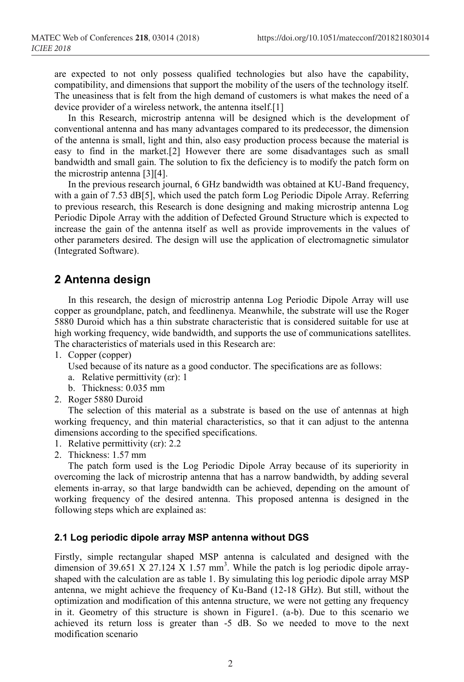are expected to not only possess qualified technologies but also have the capability, compatibility, and dimensions that support the mobility of the users of the technology itself. The uneasiness that is felt from the high demand of customers is what makes the need of a device provider of a wireless network, the antenna itself.[1]

In this Research, microstrip antenna will be designed which is the development of conventional antenna and has many advantages compared to its predecessor, the dimension of the antenna is small, light and thin, also easy production process because the material is easy to find in the market.[2] However there are some disadvantages such as small bandwidth and small gain. The solution to fix the deficiency is to modify the patch form on the microstrip antenna [3][4].

In the previous research journal, 6 GHz bandwidth was obtained at KU-Band frequency, with a gain of 7.53 dB[5], which used the patch form Log Periodic Dipole Array. Referring to previous research, this Research is done designing and making microstrip antenna Log Periodic Dipole Array with the addition of Defected Ground Structure which is expected to increase the gain of the antenna itself as well as provide improvements in the values of other parameters desired. The design will use the application of electromagnetic simulator (Integrated Software).

# **2 Antenna design**

In this research, the design of microstrip antenna Log Periodic Dipole Array will use copper as groundplane, patch, and feedlinenya. Meanwhile, the substrate will use the Roger 5880 Duroid which has a thin substrate characteristic that is considered suitable for use at high working frequency, wide bandwidth, and supports the use of communications satellites. The characteristics of materials used in this Research are:

- 1. Copper (copper)
	- Used because of its nature as a good conductor. The specifications are as follows:
	- a. Relative permittivity (εr): 1
	- b. Thickness: 0.035 mm
- 2. Roger 5880 Duroid

The selection of this material as a substrate is based on the use of antennas at high working frequency, and thin material characteristics, so that it can adjust to the antenna dimensions according to the specified specifications.

- 1. Relative permittivity (εr): 2.2
- 2. Thickness: 1.57 mm

The patch form used is the Log Periodic Dipole Array because of its superiority in overcoming the lack of microstrip antenna that has a narrow bandwidth, by adding several elements in-array, so that large bandwidth can be achieved, depending on the amount of working frequency of the desired antenna. This proposed antenna is designed in the following steps which are explained as:

#### **2.1 Log periodic dipole array MSP antenna without DGS**

Firstly, simple rectangular shaped MSP antenna is calculated and designed with the dimension of 39.651 X 27.124 X 1.57 mm<sup>3</sup>. While the patch is log periodic dipole arrayshaped with the calculation are as table 1. By simulating this log periodic dipole array MSP antenna, we might achieve the frequency of Ku-Band (12-18 GHz). But still, without the optimization and modification of this antenna structure, we were not getting any frequency in it. Geometry of this structure is shown in Figure1. (a-b). Due to this scenario we achieved its return loss is greater than -5 dB. So we needed to move to the next modification scenario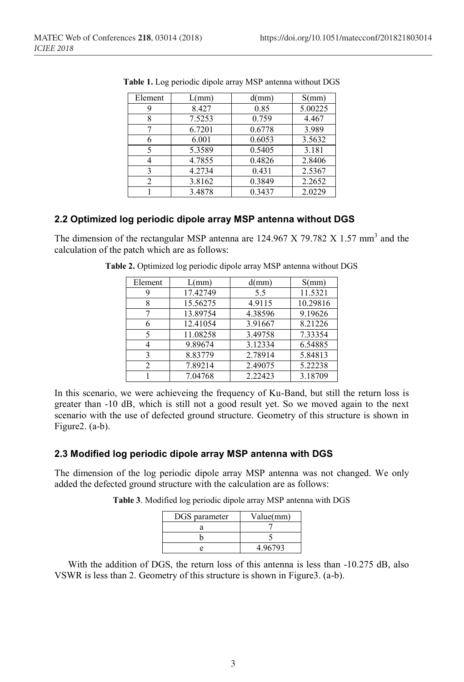| Element        | $L/mm$ ) | d(mm)  | S(mm)   |
|----------------|----------|--------|---------|
|                | 8.427    | 0.85   | 5.00225 |
|                | 7.5253   | 0.759  | 4.467   |
|                | 6.7201   | 0.6778 | 3.989   |
|                | 6.001    | 0.6053 | 3.5632  |
|                | 5.3589   | 0.5405 | 3.181   |
|                | 4.7855   | 0.4826 | 2.8406  |
|                | 4.2734   | 0.431  | 2.5367  |
| $\mathfrak{D}$ | 3.8162   | 0.3849 | 2.2652  |
|                | 3.4878   | 0.3437 | 2.0229  |

**Table 1.** Log periodic dipole array MSP antenna without DGS

#### **2.2 Optimized log periodic dipole array MSP antenna without DGS**

The dimension of the rectangular MSP antenna are  $124.967$  X 79.782 X 1.57 mm<sup>3</sup> and the calculation of the patch which are as follows:

| Element | $L/mm$ ) | d(mm)   | S(mm)    |  |  |
|---------|----------|---------|----------|--|--|
|         | 17.42749 | 5.5     | 11.5321  |  |  |
|         | 15.56275 | 4.9115  | 10.29816 |  |  |
|         | 13.89754 | 4.38596 | 9.19626  |  |  |
|         | 12.41054 | 3.91667 | 8.21226  |  |  |
|         | 11.08258 | 3.49758 | 7.33354  |  |  |
|         | 9.89674  | 3.12334 | 6.54885  |  |  |
|         | 8.83779  | 2.78914 | 5.84813  |  |  |
|         | 7.89214  | 2.49075 | 5.22238  |  |  |
|         | 7.04768  | 2.22423 | 3.18709  |  |  |

**Table 2.** Optimized log periodic dipole array MSP antenna without DGS

In this scenario, we were achieveing the frequency of Ku-Band, but still the return loss is greater than -10 dB, which is still not a good result yet. So we moved again to the next scenario with the use of defected ground structure. Geometry of this structure is shown in Figure2. (a-b).

#### **2.3 Modified log periodic dipole array MSP antenna with DGS**

The dimension of the log periodic dipole array MSP antenna was not changed. We only added the defected ground structure with the calculation are as follows:

**Table 3**. Modified log periodic dipole array MSP antenna with DGS

| DGS parameter | Value(mm) |
|---------------|-----------|
|               |           |
|               |           |
|               | 4.96793   |

With the addition of DGS, the return loss of this antenna is less than -10.275 dB, also VSWR is less than 2. Geometry of this structure is shown in Figure3. (a-b).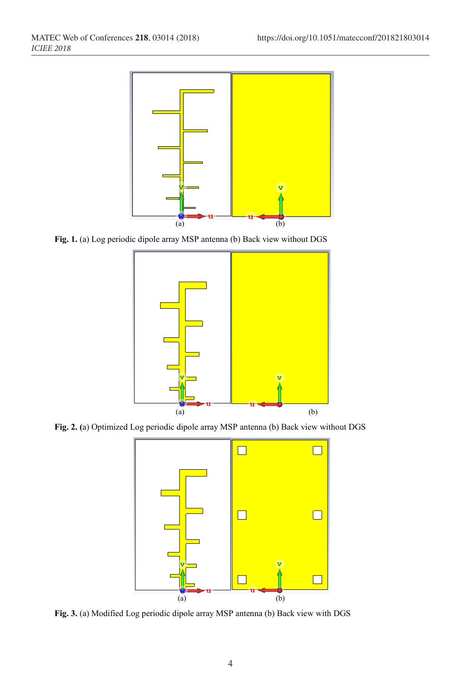

**Fig. 1.** (a) Log periodic dipole array MSP antenna (b) Back view without DGS



**Fig. 2. (**a) Optimized Log periodic dipole array MSP antenna (b) Back view without DGS



**Fig. 3.** (a) Modified Log periodic dipole array MSP antenna (b) Back view with DGS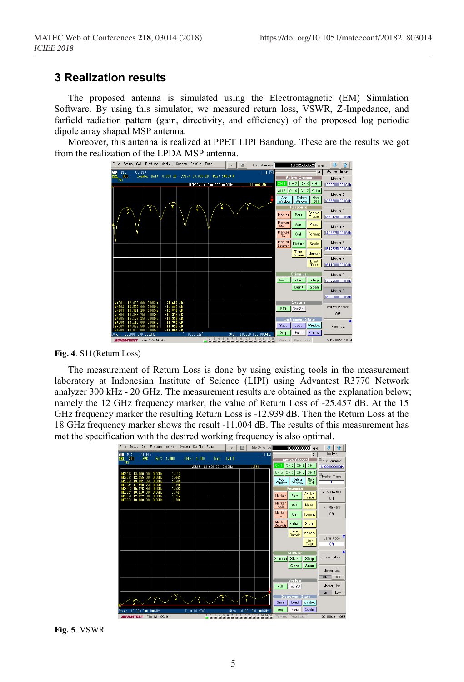# **3 Realization results**

The proposed antenna is simulated using the Electromagnetic (EM) Simulation Software. By using this simulator, we measured return loss, VSWR, Z-Impedance, and farfield radiation pattern (gain, directivity, and efficiency) of the proposed log periodic dipole array shaped MSP antenna.

Moreover, this antenna is realized at PPET LIPI Bandung. These are the results we got from the realization of the LPDA MSP antenna.



**Fig. 4**. S11(Return Loss)

The measurement of Return Loss is done by using existing tools in the measurement laboratory at Indonesian Institute of Science (LIPI) using Advantest R3770 Network analyzer 300 kHz - 20 GHz. The measurement results are obtained as the explanation below; namely the 12 GHz frequency marker, the value of Return Loss of -25.457 dB. At the 15 GHz frequency marker the resulting Return Loss is -12.939 dB. Then the Return Loss at the 18 GHz frequency marker shows the result -11.004 dB. The results of this measurement has met the specification with the desired working frequency is also optimal.

|                              | File Setup                  | Cal               |                                 | Fixture Marker System Config Func |             |             |                                                       | $\mathbf x$ | 量 | Mkr Stimulus      |                 | 18.000000000                                    | GHz         | л                              |
|------------------------------|-----------------------------|-------------------|---------------------------------|-----------------------------------|-------------|-------------|-------------------------------------------------------|-------------|---|-------------------|-----------------|-------------------------------------------------|-------------|--------------------------------|
| <b>GHI P12</b>               |                             | Cl(P1)            |                                 |                                   |             |             |                                                       |             |   | _1 ⊠              |                 |                                                 | $\times$    | Marker                         |
| TR1<br><b>TR1</b>            | $311$                       | SWR               |                                 | Ref: 1.000                        | /Div: 1.000 |             | Pos:                                                  | 0.0 X       |   |                   |                 | <b>Active Channel</b>                           |             | <b>III</b> Mkr Stimulus        |
|                              |                             |                   |                                 |                                   |             |             | MKR08: 18.000 000 000GHz                              |             |   | 1.788             | CH <sub>1</sub> | CH <sub>2</sub> CH <sub>3</sub> CH <sub>4</sub> |             | harronmoment                   |
|                              | WERNI: 12.000 000           |                   | 000GHz                          | 1,113                             |             |             |                                                       |             |   |                   |                 | CH5 CH6 CH7 CH8                                 |             | Marker Trace                   |
| AKRO2:<br>KRNS I             | 12,555                      | 000               | 000GH <sub>2</sub><br>000085    | 1.44<br>1.582                     |             |             |                                                       |             |   |                   | Add<br>Window   | Delete<br><b>Window</b>                         | More<br>CH  |                                |
| <b>KR04:</b><br><b>KR05:</b> | 15.176                      | 238               | 000GH <sub>2</sub><br>000GHz    | 1.73<br>1,593                     |             |             |                                                       |             |   |                   |                 | Response                                        |             |                                |
| AKROB:                       |                             | 16,110 000        | $000$ GHz                       | $\frac{1.74}{1.71}$               |             |             |                                                       |             |   |                   |                 |                                                 | Active      | <b>Active Marker</b>           |
| <b>CALLED</b>                | 17.077<br>W.RO8: 18.000 000 | ಾರ                | 000GHz<br>0000Hz                | 1.78                              |             |             |                                                       |             |   |                   | Marker          | Port                                            | Trace       | Off                            |
|                              |                             |                   |                                 |                                   |             |             |                                                       |             |   |                   | Marker<br>Mode  | Ave                                             | Meas        | All Markers                    |
|                              |                             |                   |                                 |                                   |             |             |                                                       |             |   |                   | Marker<br>To    | Cal                                             | Format      | Off                            |
|                              |                             |                   |                                 |                                   |             |             |                                                       |             |   |                   | Marker          | Fixture                                         | Scale       |                                |
|                              |                             |                   |                                 |                                   |             |             |                                                       |             |   |                   | Search          | Time                                            |             |                                |
|                              |                             |                   |                                 |                                   |             |             |                                                       |             |   |                   |                 | Domain                                          | Memory      |                                |
|                              |                             |                   |                                 |                                   |             |             |                                                       |             |   |                   |                 |                                                 | Limit       | Delta Mode<br>$\overline{Off}$ |
|                              |                             |                   |                                 |                                   |             |             |                                                       |             |   |                   |                 |                                                 | Test        |                                |
|                              |                             |                   |                                 |                                   |             |             |                                                       |             |   |                   |                 | <b>Stimulus</b>                                 |             |                                |
|                              |                             |                   |                                 |                                   |             |             |                                                       |             |   |                   | Stimulus Start  |                                                 | <b>Stop</b> | Marker Mode                    |
|                              |                             |                   |                                 |                                   |             |             |                                                       |             |   |                   |                 | Cent                                            | Span        |                                |
|                              |                             |                   |                                 |                                   |             |             |                                                       |             |   |                   |                 |                                                 |             | Marker List                    |
|                              |                             |                   |                                 |                                   |             |             |                                                       |             |   |                   |                 | System                                          |             | OFF<br>ON                      |
|                              |                             |                   |                                 |                                   |             |             |                                                       |             |   |                   | PI0             | TestSet                                         |             | Marker List                    |
|                              |                             |                   |                                 |                                   |             |             |                                                       |             |   |                   |                 |                                                 |             | Up<br>Low                      |
|                              |                             |                   |                                 | w                                 |             | ŝ           |                                                       |             | м |                   |                 | <b>Instrument State</b>                         |             |                                |
|                              |                             |                   |                                 |                                   |             |             |                                                       |             |   |                   | Save            | Load                                            | Window      |                                |
| Start                        |                             | 12,000 000 000GHz |                                 |                                   |             | $0.00$ dBml |                                                       | Stop        |   | 18,000 000 000GHz | Sea             | Func                                            | Config      |                                |
|                              |                             |                   | <b>ADVANTEST</b> File: 12-18GHz |                                   |             |             | $\sim$<br>$\mathcal{R}$<br>$\mathbf{d}$<br>---------- | -6          | û | 16 16             |                 | Remote Panel Lock                               |             | 2018.06.21 10:55               |

**Fig. 5**. VSWR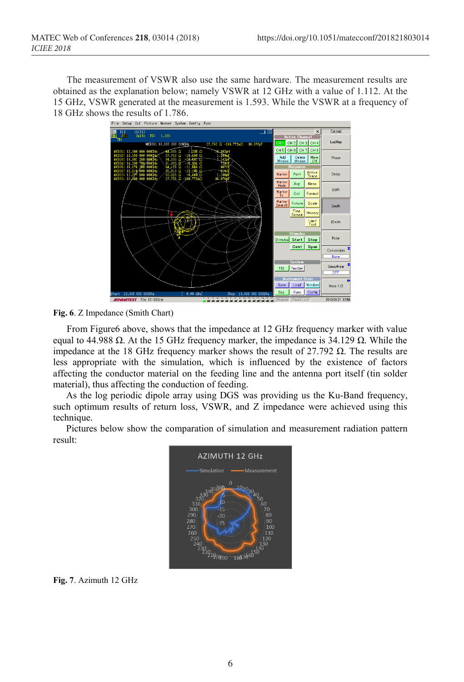The measurement of VSWR also use the same hardware. The measurement results are obtained as the explanation below; namely VSWR at 12 GHz with a value of 1.112. At the 15 GHz, VSWR generated at the measurement is 1.593. While the VSWR at a frequency of 18 GHz shows the results of 1.786.<br>File Setup Cal Fixture Marker System Config Fund



**Fig. 6**. Z Impedance (Smith Chart)

From Figure6 above, shows that the impedance at 12 GHz frequency marker with value equal to 44.988 Ω. At the 15 GHz frequency marker, the impedance is 34.129 Ω. While the impedance at the 18 GHz frequency marker shows the result of 27.792 Ω. The results are less appropriate with the simulation, which is influenced by the existence of factors affecting the conductor material on the feeding line and the antenna port itself (tin solder material), thus affecting the conduction of feeding.

As the log periodic dipole array using DGS was providing us the Ku-Band frequency, such optimum results of return loss, VSWR, and Z impedance were achieved using this technique.

Pictures below show the comparation of simulation and measurement radiation pattern result:



**Fig. 7**. Azimuth 12 GHz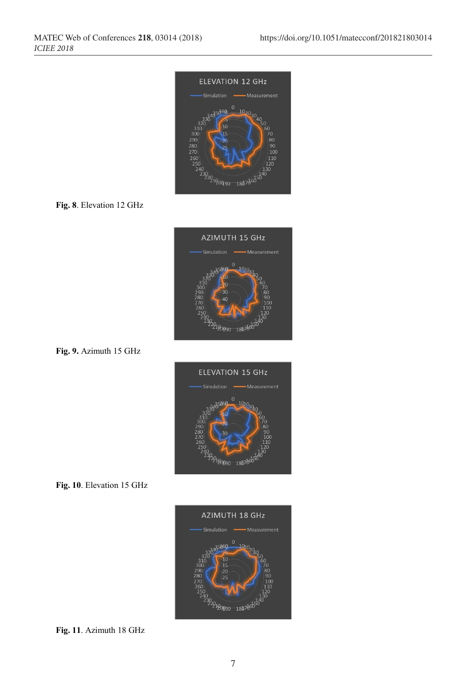

#### **Fig. 8**. Elevation 12 GHz



**Fig. 9.** Azimuth 15 GHz



**Fig. 10**. Elevation 15 GHz



**Fig. 11**. Azimuth 18 GHz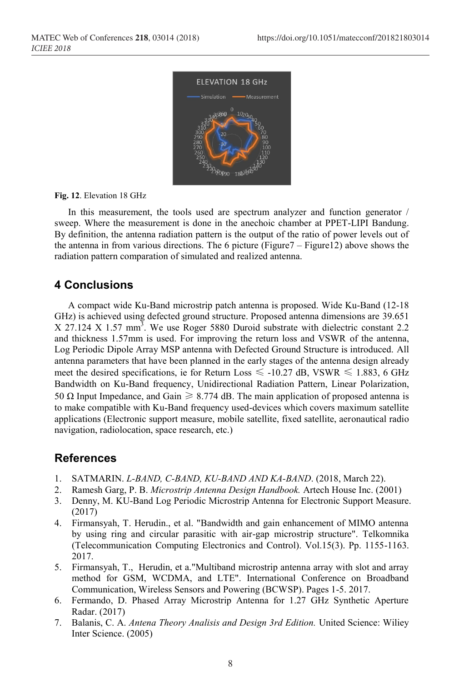

**Fig. 12**. Elevation 18 GHz

In this measurement, the tools used are spectrum analyzer and function generator / sweep. Where the measurement is done in the anechoic chamber at PPET-LIPI Bandung. By definition, the antenna radiation pattern is the output of the ratio of power levels out of the antenna in from various directions. The 6 picture (Figure7 – Figure12) above shows the radiation pattern comparation of simulated and realized antenna.

## **4 Conclusions**

A compact wide Ku-Band microstrip patch antenna is proposed. Wide Ku-Band (12-18 GHz) is achieved using defected ground structure. Proposed antenna dimensions are 39.651  $X$  27.124  $X$  1.57 mm<sup>3</sup>. We use Roger 5880 Duroid substrate with dielectric constant 2.2 and thickness 1.57mm is used. For improving the return loss and VSWR of the antenna, Log Periodic Dipole Array MSP antenna with Defected Ground Structure is introduced. All antenna parameters that have been planned in the early stages of the antenna design already meet the desired specifications, ie for Return Loss  $\leq$  -10.27 dB, VSWR  $\leq$  1.883, 6 GHz Bandwidth on Ku-Band frequency, Unidirectional Radiation Pattern, Linear Polarization, 50 Ω Input Impedance, and Gain  $\geq 8.774$  dB. The main application of proposed antenna is to make compatible with Ku-Band frequency used-devices which covers maximum satellite applications (Electronic support measure, mobile satellite, fixed satellite, aeronautical radio navigation, radiolocation, space research, etc.)

## **References**

- 1. SATMARIN. *L-BAND, C-BAND, KU-BAND AND KA-BAND*. (2018, March 22).
- 2. Ramesh Garg, P. B. *Microstrip Antenna Design Handbook.* Artech House Inc. (2001)
- 3. Denny, M. KU-Band Log Periodic Microstrip Antenna for Electronic Support Measure. (2017)
- 4. Firmansyah, T. Herudin., et al. "Bandwidth and gain enhancement of MIMO antenna by using ring and circular parasitic with air-gap microstrip structure". Telkomnika (Telecommunication Computing Electronics and Control). Vol.15(3). Pp. 1155-1163. 2017.
- 5. Firmansyah, T., Herudin, et a."Multiband microstrip antenna array with slot and array method for GSM, WCDMA, and LTE". International Conference on Broadband Communication, Wireless Sensors and Powering (BCWSP). Pages 1-5. 2017.
- 6. Fermando, D. Phased Array Microstrip Antenna for 1.27 GHz Synthetic Aperture Radar. (2017)
- 7. Balanis, C. A. *Antena Theory Analisis and Design 3rd Edition.* United Science: Wiliey Inter Science. (2005)